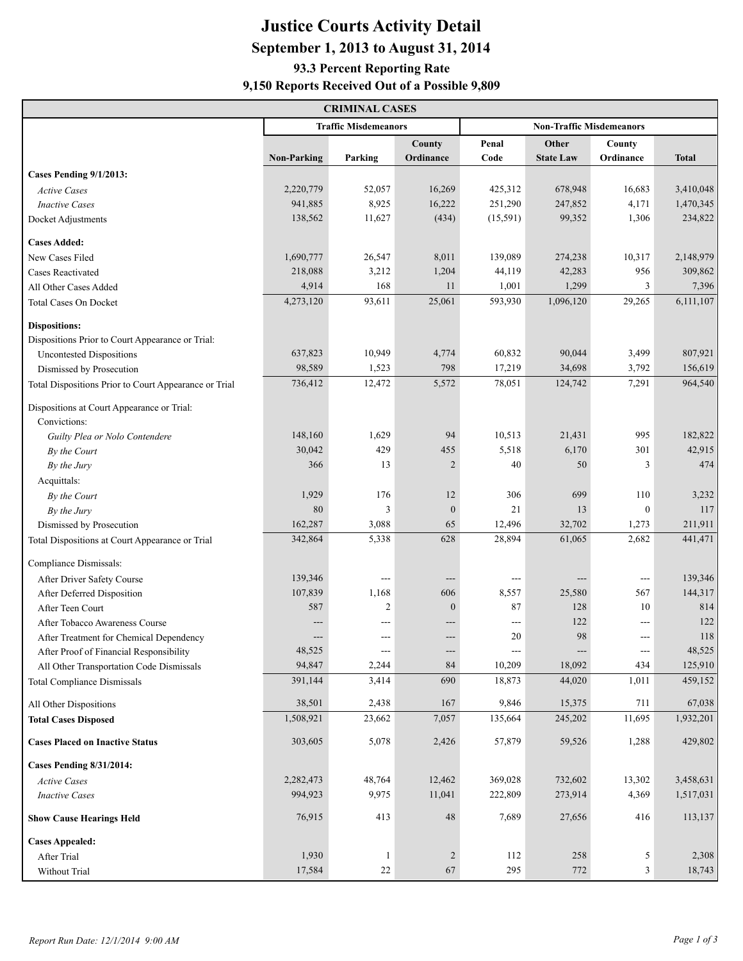# **Justice Courts Activity Detail September 1, 2013 to August 31, 2014 93.3 Percent Reporting Rate**

#### **9,150 Reports Received Out of a Possible 9,809**

| <b>CRIMINAL CASES</b>                                 |                    |                             |                |                                 |                  |                          |              |  |  |  |
|-------------------------------------------------------|--------------------|-----------------------------|----------------|---------------------------------|------------------|--------------------------|--------------|--|--|--|
|                                                       |                    | <b>Traffic Misdemeanors</b> |                | <b>Non-Traffic Misdemeanors</b> |                  |                          |              |  |  |  |
|                                                       |                    |                             | County         | Penal                           | Other            | County                   |              |  |  |  |
|                                                       | <b>Non-Parking</b> | Parking                     | Ordinance      | Code                            | <b>State Law</b> | Ordinance                | <b>Total</b> |  |  |  |
| Cases Pending 9/1/2013:                               |                    |                             |                |                                 |                  |                          |              |  |  |  |
| <b>Active Cases</b>                                   | 2,220,779          | 52,057                      | 16,269         | 425,312                         | 678,948          | 16,683                   | 3,410,048    |  |  |  |
| <b>Inactive Cases</b>                                 | 941,885            | 8,925                       | 16,222         | 251,290                         | 247,852          | 4,171                    | 1,470,345    |  |  |  |
| Docket Adjustments                                    | 138,562            | 11,627                      | (434)          | (15,591)                        | 99,352           | 1,306                    | 234,822      |  |  |  |
| <b>Cases Added:</b>                                   |                    |                             |                |                                 |                  |                          |              |  |  |  |
| New Cases Filed                                       | 1,690,777          | 26,547                      | 8,011          | 139,089                         | 274,238          | 10,317                   | 2,148,979    |  |  |  |
| <b>Cases Reactivated</b>                              | 218,088            | 3,212                       | 1,204          | 44,119                          | 42,283           | 956                      | 309,862      |  |  |  |
| All Other Cases Added                                 | 4,914              | 168                         | 11             | 1,001                           | 1,299            | 3                        | 7,396        |  |  |  |
| <b>Total Cases On Docket</b>                          | 4,273,120          | 93,611                      | 25,061         | 593,930                         | 1,096,120        | 29,265                   | 6,111,107    |  |  |  |
|                                                       |                    |                             |                |                                 |                  |                          |              |  |  |  |
| <b>Dispositions:</b>                                  |                    |                             |                |                                 |                  |                          |              |  |  |  |
| Dispositions Prior to Court Appearance or Trial:      |                    |                             |                |                                 |                  |                          |              |  |  |  |
| <b>Uncontested Dispositions</b>                       | 637,823            | 10,949                      | 4,774          | 60,832                          | 90,044           | 3,499                    | 807,921      |  |  |  |
| Dismissed by Prosecution                              | 98,589             | 1,523                       | 798            | 17,219                          | 34,698           | 3,792                    | 156,619      |  |  |  |
| Total Dispositions Prior to Court Appearance or Trial | 736,412            | 12,472                      | 5,572          | 78,051                          | 124,742          | 7,291                    | 964,540      |  |  |  |
| Dispositions at Court Appearance or Trial:            |                    |                             |                |                                 |                  |                          |              |  |  |  |
| Convictions:                                          |                    |                             |                |                                 |                  |                          |              |  |  |  |
| Guilty Plea or Nolo Contendere                        | 148,160            | 1,629                       | 94             | 10,513                          | 21,431           | 995                      | 182,822      |  |  |  |
| By the Court                                          | 30,042             | 429                         | 455            | 5,518                           | 6,170            | 301                      | 42,915       |  |  |  |
| By the Jury                                           | 366                | 13                          | $\overline{2}$ | 40                              | 50               | 3                        | 474          |  |  |  |
| Acquittals:                                           |                    |                             |                |                                 |                  |                          |              |  |  |  |
| By the Court                                          | 1,929              | 176                         | 12             | 306                             | 699              | 110                      | 3,232        |  |  |  |
| By the Jury                                           | 80                 | 3                           | $\mathbf{0}$   | 21                              | 13               | $\boldsymbol{0}$         | 117          |  |  |  |
| Dismissed by Prosecution                              | 162,287            | 3,088                       | 65             | 12,496                          | 32,702           | 1,273                    | 211,911      |  |  |  |
| Total Dispositions at Court Appearance or Trial       | 342,864            | 5,338                       | 628            | 28,894                          | 61,065           | 2,682                    | 441,471      |  |  |  |
| Compliance Dismissals:                                |                    |                             |                |                                 |                  |                          |              |  |  |  |
| After Driver Safety Course                            | 139,346            | $---$                       | $---$          | $---$                           |                  | $\scriptstyle\cdots$     | 139,346      |  |  |  |
| After Deferred Disposition                            | 107,839            | 1,168                       | 606            | 8,557                           | 25,580           | 567                      | 144,317      |  |  |  |
| After Teen Court                                      | 587                | $\overline{2}$              | $\mathbf{0}$   | 87                              | 128              | 10                       | 814          |  |  |  |
| After Tobacco Awareness Course                        |                    | ---                         | $---$          | $---$                           | 122              | $\cdots$                 | 122          |  |  |  |
| After Treatment for Chemical Dependency               | $---$              | ---                         | $---$          | 20                              | 98               | $---$                    | 118          |  |  |  |
| After Proof of Financial Responsibility               | 48,525             | $\qquad \qquad - -$         | ---            | ---                             |                  | $\hspace{0.05cm} \ldots$ | 48,525       |  |  |  |
| All Other Transportation Code Dismissals              | 94,847             | 2,244                       | 84             | 10,209                          | 18,092           | 434                      | 125,910      |  |  |  |
| <b>Total Compliance Dismissals</b>                    | 391,144            | 3,414                       | 690            | 18,873                          | 44,020           | 1,011                    | 459,152      |  |  |  |
| All Other Dispositions                                | 38,501             | 2,438                       | 167            | 9,846                           | 15,375           | 711                      | 67,038       |  |  |  |
| <b>Total Cases Disposed</b>                           | 1,508,921          | 23,662                      | 7,057          | 135,664                         | 245,202          | 11,695                   | 1,932,201    |  |  |  |
|                                                       |                    |                             |                |                                 |                  |                          |              |  |  |  |
| <b>Cases Placed on Inactive Status</b>                | 303,605            | 5,078                       | 2,426          | 57,879                          | 59,526           | 1,288                    | 429,802      |  |  |  |
| <b>Cases Pending 8/31/2014:</b>                       |                    |                             |                |                                 |                  |                          |              |  |  |  |
| <b>Active Cases</b>                                   | 2,282,473          | 48,764                      | 12,462         | 369,028                         | 732,602          | 13,302                   | 3,458,631    |  |  |  |
| <b>Inactive Cases</b>                                 | 994,923            | 9,975                       | 11,041         | 222,809                         | 273,914          | 4,369                    | 1,517,031    |  |  |  |
| <b>Show Cause Hearings Held</b>                       | 76,915             | 413                         | 48             | 7,689                           | 27,656           | 416                      | 113,137      |  |  |  |
| <b>Cases Appealed:</b>                                |                    |                             |                |                                 |                  |                          |              |  |  |  |
| After Trial                                           | 1,930              | $\mathbf{1}$                | $\overline{2}$ | 112                             | 258              | 5                        | 2,308        |  |  |  |
| Without Trial                                         | 17,584             | $22\,$                      | 67             | 295                             | 772              | $\mathfrak{Z}$           | 18,743       |  |  |  |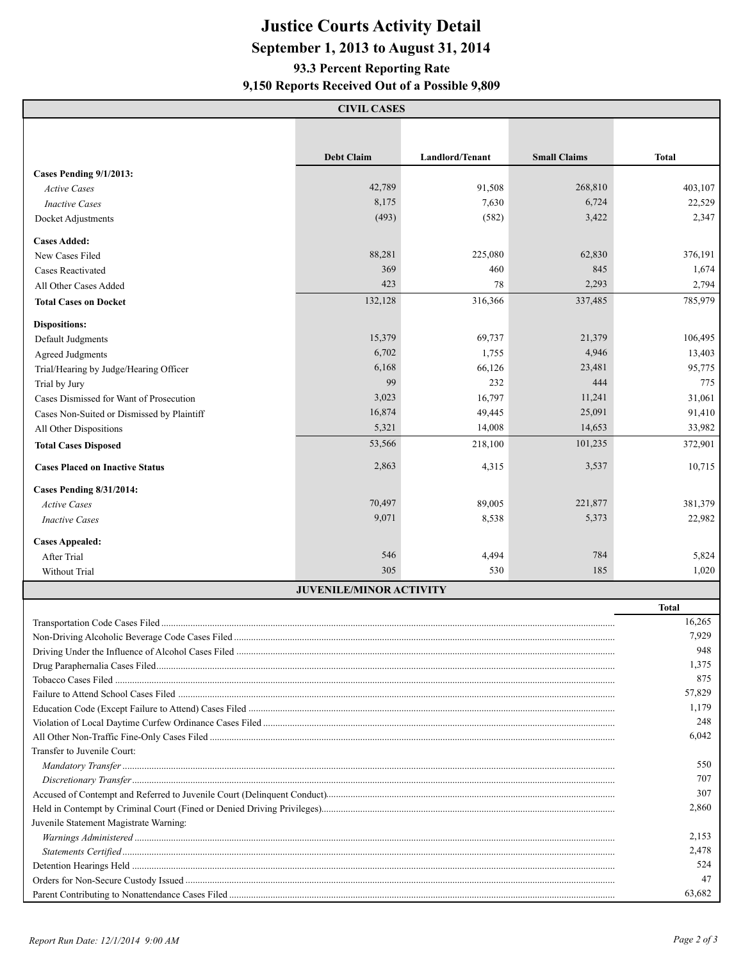## **Justice Courts Activity Detail September 1, 2013 to August 31, 2014 9,150 Reports Received Out of a Possible 9,809 93.3 Percent Reporting Rate**

|                                                 | <b>CIVIL CASES</b>             |                 |                     |              |  |  |
|-------------------------------------------------|--------------------------------|-----------------|---------------------|--------------|--|--|
|                                                 |                                |                 |                     |              |  |  |
|                                                 | <b>Debt Claim</b>              | Landlord/Tenant | <b>Small Claims</b> |              |  |  |
| Cases Pending 9/1/2013:                         |                                |                 |                     | <b>Total</b> |  |  |
| <b>Active Cases</b>                             | 42,789                         | 91,508          | 268,810             | 403,107      |  |  |
| <b>Inactive Cases</b>                           | 8,175                          | 7,630           | 6,724               | 22,529       |  |  |
| Docket Adjustments                              | (493)                          | (582)           | 3,422               | 2,347        |  |  |
|                                                 |                                |                 |                     |              |  |  |
| <b>Cases Added:</b>                             |                                |                 |                     |              |  |  |
| New Cases Filed                                 | 88,281                         | 225,080         | 62,830              | 376,191      |  |  |
| Cases Reactivated                               | 369                            | 460             | 845                 | 1,674        |  |  |
| All Other Cases Added                           | 423                            | 78              | 2,293               | 2,794        |  |  |
| <b>Total Cases on Docket</b>                    | 132,128                        | 316,366         | 337,485             | 785,979      |  |  |
| <b>Dispositions:</b>                            |                                |                 |                     |              |  |  |
| Default Judgments                               | 15,379                         | 69,737          | 21,379              | 106,495      |  |  |
| <b>Agreed Judgments</b>                         | 6,702                          | 1,755           | 4,946               | 13,403       |  |  |
| Trial/Hearing by Judge/Hearing Officer          | 6,168                          | 66,126          | 23,481              | 95,775       |  |  |
| Trial by Jury                                   | 99                             | 232             | 444                 | 775          |  |  |
| Cases Dismissed for Want of Prosecution         | 3,023                          | 16,797          | 11,241              | 31,061       |  |  |
| Cases Non-Suited or Dismissed by Plaintiff      | 16,874                         | 49,445          | 25,091              | 91,410       |  |  |
| All Other Dispositions                          | 5,321                          | 14,008          | 14,653              | 33,982       |  |  |
| <b>Total Cases Disposed</b>                     | 53,566                         | 218,100         | 101,235             | 372,901      |  |  |
| <b>Cases Placed on Inactive Status</b>          | 2,863                          | 4,315           | 3,537               | 10,715       |  |  |
|                                                 |                                |                 |                     |              |  |  |
| <b>Cases Pending 8/31/2014:</b>                 |                                |                 |                     |              |  |  |
| <b>Active Cases</b>                             | 70,497                         | 89,005          | 221,877             | 381,379      |  |  |
| <b>Inactive Cases</b>                           | 9,071                          | 8,538           | 5,373               | 22,982       |  |  |
| <b>Cases Appealed:</b>                          |                                |                 |                     |              |  |  |
| After Trial                                     | 546                            | 4,494           | 784                 | 5,824        |  |  |
| Without Trial                                   | 305                            | 530             | 185                 | 1,020        |  |  |
|                                                 | <b>JUVENILE/MINOR ACTIVITY</b> |                 |                     |              |  |  |
|                                                 |                                |                 |                     | <b>Total</b> |  |  |
|                                                 |                                |                 |                     | 16,265       |  |  |
| Non-Driving Alcoholic Beverage Code Cases Filed |                                |                 |                     | 7,929        |  |  |
|                                                 |                                |                 |                     | 948          |  |  |
|                                                 |                                |                 |                     | 1,375        |  |  |
|                                                 |                                |                 |                     | 875          |  |  |
|                                                 |                                |                 |                     | 57,829       |  |  |
|                                                 |                                |                 |                     |              |  |  |
|                                                 |                                |                 |                     | 248          |  |  |
|                                                 |                                |                 |                     | 6,042        |  |  |
| Transfer to Juvenile Court:                     |                                |                 |                     |              |  |  |
|                                                 |                                |                 |                     | 550<br>707   |  |  |
|                                                 |                                |                 |                     |              |  |  |
|                                                 |                                |                 |                     |              |  |  |
|                                                 |                                |                 |                     |              |  |  |
| Juvenile Statement Magistrate Warning:          |                                |                 |                     |              |  |  |
|                                                 | 2,153                          |                 |                     |              |  |  |
|                                                 |                                |                 |                     | 2,478        |  |  |
|                                                 |                                |                 |                     | 524<br>47    |  |  |
|                                                 |                                |                 |                     | 63,682       |  |  |
|                                                 |                                |                 |                     |              |  |  |